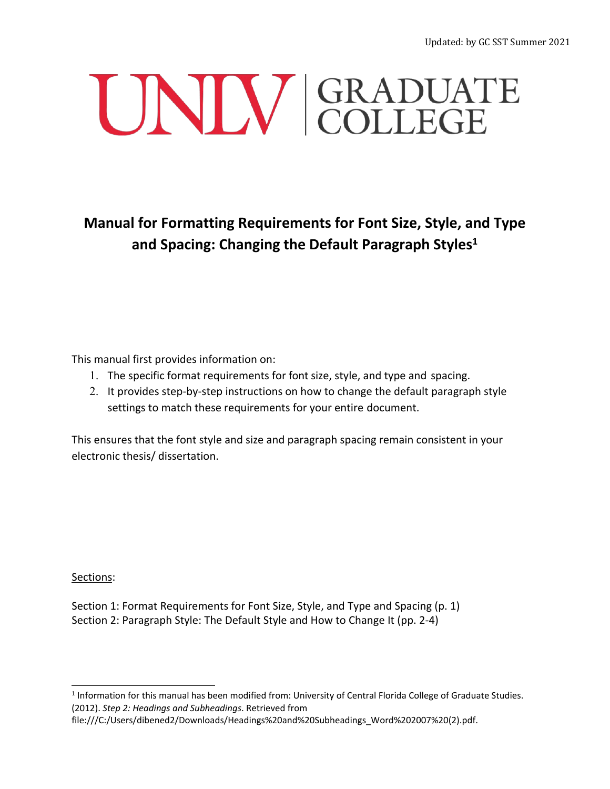# UNIV GRADUATE

**Manual for Formatting Requirements for Font Size, Style, and Type and Spacing: Changing the Default Paragraph Styles1**

This manual first provides information on:

- 1. The specific format requirements for font size, style, and type and spacing.
- 2. It provides step-by-step instructions on how to change the default paragraph style settings to match these requirements for your entire document.

This ensures that the font style and size and paragraph spacing remain consistent in your electronic thesis/ dissertation.

Sections:

Section 1: Format Requirements for Font Size, Style, and Type and Spacing (p. 1) Section 2: Paragraph Style: The Default Style and How to Change It (pp. 2-4)

<sup>1</sup> Information for this manual has been modified from: University of Central Florida College of Graduate Studies. (2012). *Step 2: Headings and Subheadings*. Retrieved from

file:///C:/Users/dibened2/Downloads/Headings%20and%20Subheadings\_Word%202007%20(2).pdf.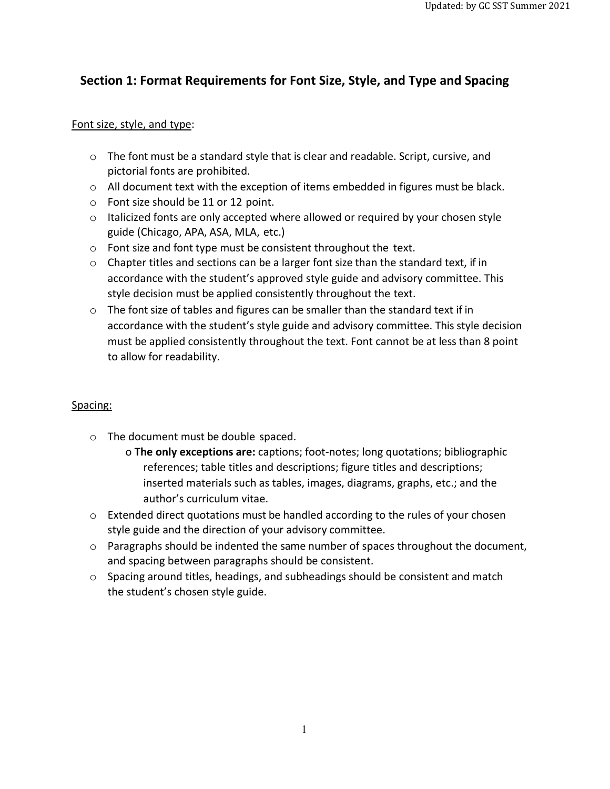# **Section 1: Format Requirements for Font Size, Style, and Type and Spacing**

### Font size, style, and type:

- $\circ$  The font must be a standard style that is clear and readable. Script, cursive, and pictorial fonts are prohibited.
- $\circ$  All document text with the exception of items embedded in figures must be black.
- o Font size should be 11 or 12 point.
- $\circ$  Italicized fonts are only accepted where allowed or required by your chosen style guide (Chicago, APA, ASA, MLA, etc.)
- o Font size and font type must be consistent throughout the text.
- o Chapter titles and sections can be a larger font size than the standard text, if in accordance with the student's approved style guide and advisory committee. This style decision must be applied consistently throughout the text.
- $\circ$  The font size of tables and figures can be smaller than the standard text if in accordance with the student's style guide and advisory committee. This style decision must be applied consistently throughout the text. Font cannot be at less than 8 point to allow for readability.

### Spacing:

- o The document must be double spaced.
	- o **The only exceptions are:** captions; foot-notes; long quotations; bibliographic references; table titles and descriptions; figure titles and descriptions; inserted materials such as tables, images, diagrams, graphs, etc.; and the author's curriculum vitae.
- o Extended direct quotations must be handled according to the rules of your chosen style guide and the direction of your advisory committee.
- $\circ$  Paragraphs should be indented the same number of spaces throughout the document, and spacing between paragraphs should be consistent.
- $\circ$  Spacing around titles, headings, and subheadings should be consistent and match the student's chosen style guide.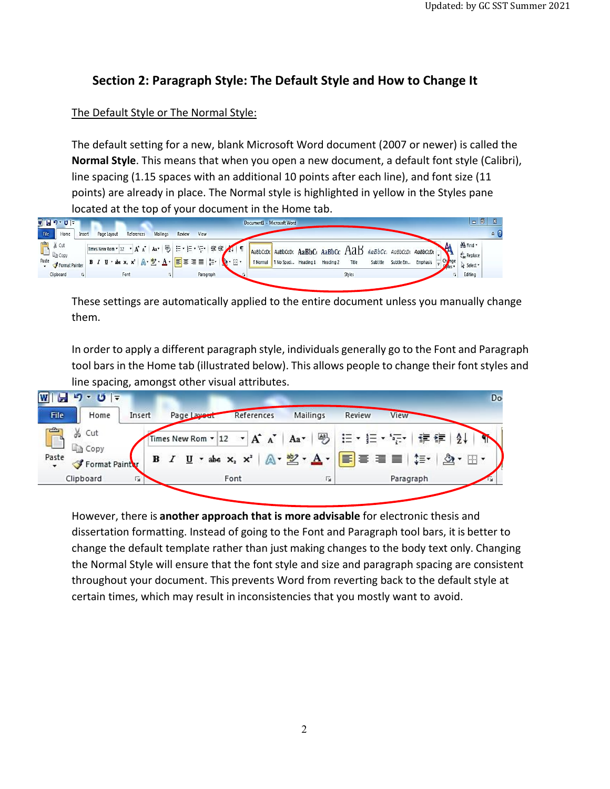# **Section 2: Paragraph Style: The Default Style and How to Change It**

### The Default Style or The Normal Style:

The default setting for a new, blank Microsoft Word document (2007 or newer) is called the **Normal Style**. This means that when you open a new document, a default font style (Calibri), line spacing (1.15 spaces with an additional 10 points after each line), and font size (11 points) are already in place. The Normal style is highlighted in yellow in the Styles pane located at the top of your document in the Home tab.



These settings are automatically applied to the entire document unless you manually change them.

In order to apply a different paragraph style, individuals generally go to the Font and Paragraph tool bars in the Home tab (illustrated below). This allows people to change their font styles and line spacing, amongst other visual attributes.



However, there is **another approach that is more advisable** for electronic thesis and dissertation formatting. Instead of going to the Font and Paragraph tool bars, it is better to change the default template rather than just making changes to the body text only. Changing the Normal Style will ensure that the font style and size and paragraph spacing are consistent throughout your document. This prevents Word from reverting back to the default style at certain times, which may result in inconsistencies that you mostly want to avoid.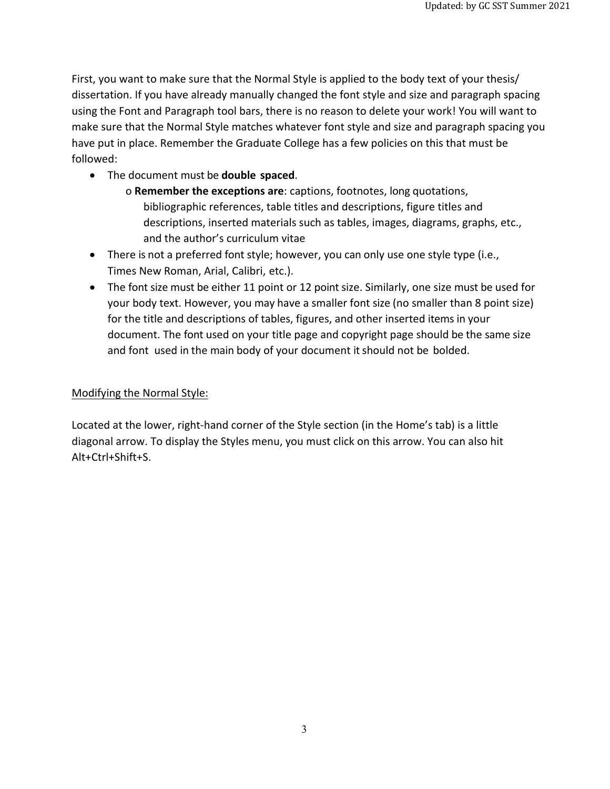First, you want to make sure that the Normal Style is applied to the body text of your thesis/ dissertation. If you have already manually changed the font style and size and paragraph spacing using the Font and Paragraph tool bars, there is no reason to delete your work! You will want to make sure that the Normal Style matches whatever font style and size and paragraph spacing you have put in place. Remember the Graduate College has a few policies on this that must be followed:

- The document must be **double spaced**.
	- o **Remember the exceptions are**: captions, footnotes, long quotations, bibliographic references, table titles and descriptions, figure titles and descriptions, inserted materials such as tables, images, diagrams, graphs, etc., and the author's curriculum vitae
- There is not a preferred font style; however, you can only use one style type (i.e., Times New Roman, Arial, Calibri, etc.).
- The font size must be either 11 point or 12 point size. Similarly, one size must be used for your body text. However, you may have a smaller font size (no smaller than 8 point size) for the title and descriptions of tables, figures, and other inserted items in your document. The font used on your title page and copyright page should be the same size and font used in the main body of your document it should not be bolded.

## Modifying the Normal Style:

Located at the lower, right-hand corner of the Style section (in the Home's tab) is a little diagonal arrow. To display the Styles menu, you must click on this arrow. You can also hit Alt+Ctrl+Shift+S.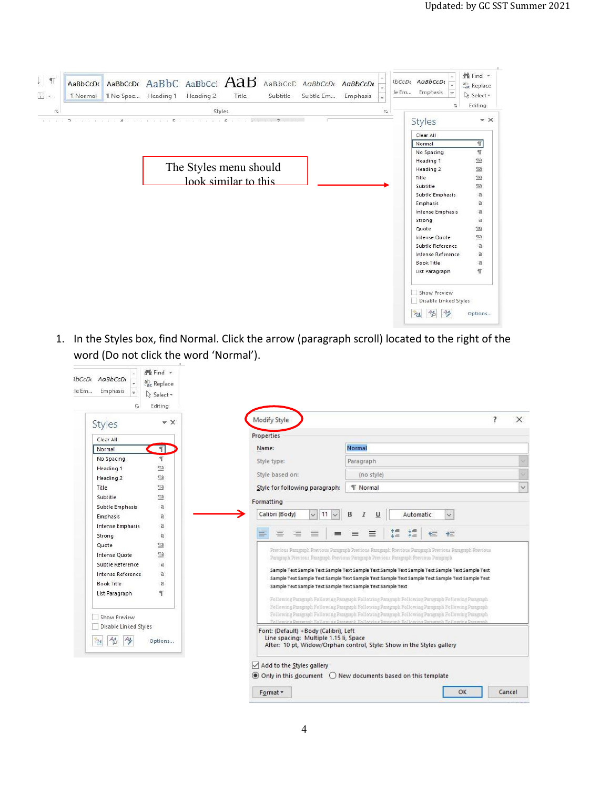| $\mathsf{L}$<br>$\P$<br>囲 - | AaBbCcDc<br><b>T</b> Normal | 1 No Spac Heading 1 | AaBbCcDt AaBbC AaBbCcl AaB                                           | Heading 2              | Title | Subtitle | AaBbCcC AaBbCcDt AaBbCcDt<br>Subtle Em | Emphasis | $\overline{\phantom{0}}$  | le Em | IbCcDt AaBbCcDt<br>Emphasis<br>Ψ<br>ß.                | # Find →<br>ab <sub>c</sub> Replace<br>☆ Select -<br>Editing |
|-----------------------------|-----------------------------|---------------------|----------------------------------------------------------------------|------------------------|-------|----------|----------------------------------------|----------|---------------------------|-------|-------------------------------------------------------|--------------------------------------------------------------|
| Ġ<br>and the second second  | $\mathbf{R}$                | $\Delta$            | on who who who would would well who well while when the world there. | Styles                 |       |          |                                        |          | $\overline{\mathbb{F}_M}$ |       |                                                       | $- \times$                                                   |
|                             |                             |                     |                                                                      |                        |       |          |                                        |          |                           |       | Styles                                                |                                                              |
|                             |                             |                     |                                                                      |                        |       |          |                                        |          |                           |       | Clear All                                             |                                                              |
|                             |                             |                     |                                                                      |                        |       |          |                                        |          |                           |       | Normal                                                | $\P$                                                         |
|                             |                             |                     |                                                                      |                        |       |          |                                        |          |                           |       | No Spacing                                            | $\P$                                                         |
|                             |                             |                     |                                                                      |                        |       |          |                                        |          |                           |       | Heading 1                                             | $\P$ a                                                       |
|                             |                             |                     |                                                                      | The Styles menu should |       |          |                                        |          |                           |       | Heading 2                                             | $\P$ a                                                       |
|                             |                             |                     |                                                                      | look similar to this   |       |          |                                        |          |                           |       | Title                                                 | <u>та</u>                                                    |
|                             |                             |                     |                                                                      |                        |       |          |                                        |          |                           |       | Subtitle                                              | $\Pi$ a                                                      |
|                             |                             |                     |                                                                      |                        |       |          |                                        |          |                           |       | Subtle Emphasis                                       | $\alpha$                                                     |
|                             |                             |                     |                                                                      |                        |       |          |                                        |          |                           |       | Emphasis                                              | a                                                            |
|                             |                             |                     |                                                                      |                        |       |          |                                        |          |                           |       | <b>Intense Emphasis</b>                               | a<br>$\alpha$                                                |
|                             |                             |                     |                                                                      |                        |       |          |                                        |          |                           |       | Strong<br>Quote                                       | $\P$ a                                                       |
|                             |                             |                     |                                                                      |                        |       |          |                                        |          |                           |       | Intense Quote                                         | $\Pi$ a                                                      |
|                             |                             |                     |                                                                      |                        |       |          |                                        |          |                           |       | Subtle Reference                                      | a                                                            |
|                             |                             |                     |                                                                      |                        |       |          |                                        |          |                           |       | Intense Reference                                     | a                                                            |
|                             |                             |                     |                                                                      |                        |       |          |                                        |          |                           |       | <b>Book Title</b>                                     | a                                                            |
|                             |                             |                     |                                                                      |                        |       |          |                                        |          |                           |       | List Paragraph                                        | T                                                            |
|                             |                             |                     |                                                                      |                        |       |          |                                        |          |                           |       | Show Preview                                          |                                                              |
|                             |                             |                     |                                                                      |                        |       |          |                                        |          |                           |       | Disable Linked Styles<br>$A^4_{\tilde{D}}$<br>參<br>A4 | Options                                                      |

1. In the Styles box, find Normal. Click the arrow (paragraph scroll) located to the right of the word (Do not click the word 'Normal').

| Styles                                 | $\ast$ X                | Modify Style                                                                                            | $\times$ |
|----------------------------------------|-------------------------|---------------------------------------------------------------------------------------------------------|----------|
| Clear All                              |                         | Properties                                                                                              |          |
| Normal                                 | $\P$                    | Normal<br>Name:                                                                                         |          |
| No Spacing                             | M                       | Style type:<br>Paragraph                                                                                |          |
| Heading 1                              | $\underline{43}$        |                                                                                                         |          |
| Heading 2                              | $\underline{\text{ma}}$ | Style based on:<br>(no style)                                                                           |          |
| <b>Title</b>                           | $\P$ a                  | <b>T</b> Normal<br>Style for following paragraph:                                                       |          |
| Subtitle                               | $\Pi$ a                 | Formatting                                                                                              |          |
| Subtle Emphasis                        | a                       |                                                                                                         |          |
| Emphasis                               | a                       | Calibri (Body)<br>11<br>B<br>$\vee$<br>I<br>U<br>Automatic<br>$\checkmark$                              |          |
| Intense Emphasis                       | a                       |                                                                                                         |          |
| Strong                                 | a                       | $*_{\equiv}$<br>←≡<br>涯<br>$\rightarrow$<br>≡<br>亖<br>石<br>丰<br>≡<br>≡                                  |          |
| Quote                                  | Пa                      | Previous Paragraph Previous Paragraph Previous Paragraph Previous Paragraph Previous Paragraph Previous |          |
| Intense Ouote                          | $\P$ a                  | Paragraph Previous Paragraph Previous Paragraph Previous Paragraph Previous Paragraph                   |          |
| Subtle Reference                       | a                       | Sample Text Sample Text Sample Text Sample Text Sample Text Sample Text Sample Text Sample Text         |          |
| Intense Reference                      | a                       | Sample Text Sample Text Sample Text Sample Text Sample Text Sample Text Sample Text Sample Text         |          |
| Book Title                             | a                       | Sample Text Sample Text Sample Text Sample Text Sample Text                                             |          |
| List Paragraph                         | T                       | Following Paragraph Following Paragraph Following Paragraph Following Paragraph Following Paragraph     |          |
|                                        |                         | Following Paragraph Following Paragraph Following Paragraph Following Paragraph Following Paragraph     |          |
| Show Preview                           |                         | Following Paragraph Following Paragraph Following Paragraph Following Paragraph Following Paragraph     |          |
| Disable Linked Styles                  |                         | Following Paragraph Following Paragraph Following Paragraph Following Paragraph Following Paragraph     |          |
|                                        |                         | Font: (Default) +Body (Calibri), Left<br>Line spacing: Multiple 1.15 li, Space                          |          |
| <sup>A4</sup> p<br>參<br>A <sub>4</sub> | Options                 | After: 10 pt, Widow/Orphan control, Style: Show in the Styles gallery                                   |          |